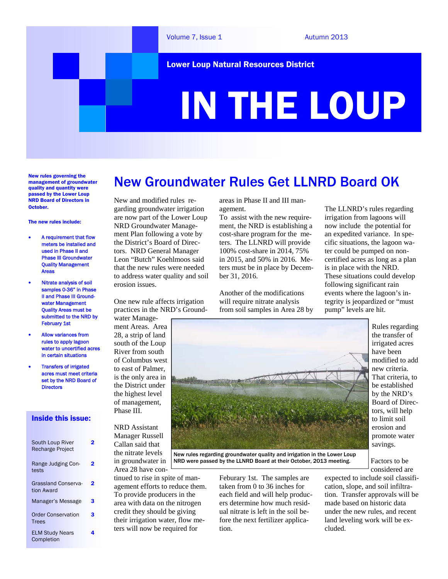

New rules governing the management of groundwater quality and quantity were passed by the Lower Loup NRD Board of Directors in October.

#### The new rules include:

- A requirement that flow meters be installed and used in Phase II and Phase III Groundwater Quality Management Areas
- Nitrate analysis of soil samples 0-36" in Phase II and Phase III Groundwater Management Quality Areas must be submitted to the NRD by February 1st
- Allow variances from rules to apply lagoon water to uncertified acres in certain situations
- Transfers of irrigated acres must meet criteria set by the NRD Board of **Directors**

#### Inside this issue:

| South Loup River<br><b>Recharge Project</b> |   |
|---------------------------------------------|---|
| Range Judging Con-<br>tests                 | 2 |
| <b>Grassland Conserva-</b><br>tion Award    | 2 |
| Manager's Message                           | 3 |
| <b>Order Conservation</b><br><b>Trees</b>   | 3 |
| <b>ELM Study Nears</b><br>Completion        |   |

#### New and modified rules regarding groundwater irrigation are now part of the Lower Loup NRD Groundwater Management Plan following a vote by the District's Board of Directors. NRD General Manager Leon "Butch" Koehlmoos said that the new rules were needed to address water quality and soil erosion issues.

One new rule affects irrigation practices in the NRD's Ground-

water Management Areas. Area 28, a strip of land south of the Loup River from south of Columbus west to east of Palmer, is the only area in the District under the highest level of management, Phase III.

NRD Assistant Manager Russell Callan said that the nitrate levels in groundwater in Area 28 have con-

tinued to rise in spite of management efforts to reduce them. To provide producers in the area with data on the nitrogen credit they should be giving their irrigation water, flow meters will now be required for

areas in Phase II and III management.

New Groundwater Rules Get LLNRD Board OK

To assist with the new requirement, the NRD is establishing a cost-share program for the meters. The LLNRD will provide 100% cost-share in 2014, 75% in 2015, and 50% in 2016. Meters must be in place by December 31, 2016.

Another of the modifications will require nitrate analysis from soil samples in Area 28 by The LLNRD's rules regarding irrigation from lagoons will now include the potential for an expedited variance. In specific situations, the lagoon water could be pumped on noncertified acres as long as a plan is in place with the NRD. These situations could develop following significant rain events where the lagoon's integrity is jeopardized or "must pump" levels are hit.



New rules regarding groundwater quality and irrigation in the Lower Loup NRD were passed by the LLNRD Board at their October, 2013 meeting.

> Feburary 1st. The samples are taken from 0 to 36 inches for each field and will help producers determine how much residual nitrate is left in the soil before the next fertilizer application.

Rules regarding the transfer of irrigated acres have been modified to add new criteria. That criteria, to be established by the NRD's Board of Directors, will help to limit soil erosion and promote water savings.

Factors to be considered are

expected to include soil classification, slope, and soil infiltration. Transfer approvals will be made based on historic data under the new rules, and recent land leveling work will be excluded.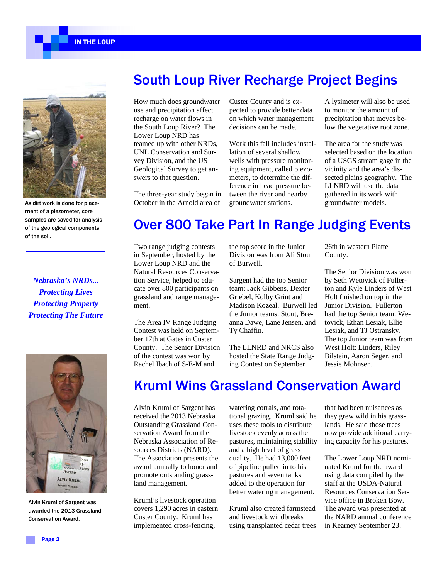IN THE LOUP



As dirt work is done for placement of a piezometer, core samples are saved for analysis of the geological components of the soil.

*Nebraska's NRDs... Protecting Lives Protecting Property Protecting The Future* 



Alvin Kruml of Sargent was awarded the 2013 Grassland Conservation Award.

### South Loup River Recharge Project Begins

How much does groundwater use and precipitation affect recharge on water flows in the South Loup River? The Lower Loup NRD has teamed up with other NRDs, UNL Conservation and Survey Division, and the US Geological Survey to get answers to that question.

The three-year study began in October in the Arnold area of

Custer County and is expected to provide better data on which water management decisions can be made.

Work this fall includes installation of several shallow wells with pressure monitoring equipment, called piezometers, to determine the difference in head pressure between the river and nearby groundwater stations.

A lysimeter will also be used to monitor the amount of precipitation that moves below the vegetative root zone.

The area for the study was selected based on the location of a USGS stream gage in the vicinity and the area's dissected plains geography. The LLNRD will use the data gathered in its work with groundwater models.

### Over 800 Take Part In Range Judging Events

Two range judging contests in September, hosted by the Lower Loup NRD and the Natural Resources Conservation Service, helped to educate over 800 participants on grassland and range management.

The Area IV Range Judging Contest was held on September 17th at Gates in Custer County. The Senior Division of the contest was won by Rachel Ibach of S-E-M and

the top score in the Junior Division was from Ali Stout of Burwell.

Sargent had the top Senior team: Jack Gibbens, Dexter Griebel, Kolby Grint and Madison Kozeal. Burwell led the Junior teams: Stout, Breanna Dawe, Lane Jensen, and Ty Chaffin.

The LLNRD and NRCS also hosted the State Range Judging Contest on September

26th in western Platte County.

The Senior Division was won by Seth Wetovick of Fullerton and Kyle Linders of West Holt finished on top in the Junior Division. Fullerton had the top Senior team: Wetovick, Ethan Lesiak, Ellie Lesiak, and TJ Ostransky. The top Junior team was from West Holt: Linders, Riley Bilstein, Aaron Seger, and Jessie Mohnsen.

### Kruml Wins Grassland Conservation Award

Alvin Kruml of Sargent has received the 2013 Nebraska Outstanding Grassland Conservation Award from the Nebraska Association of Resources Districts (NARD). The Association presents the award annually to honor and promote outstanding grassland management.

Kruml's livestock operation covers 1,290 acres in eastern Custer County. Kruml has implemented cross-fencing,

watering corrals, and rotational grazing. Kruml said he uses these tools to distribute livestock evenly across the pastures, maintaining stability and a high level of grass quality. He had 13,000 feet of pipeline pulled in to his pastures and seven tanks added to the operation for better watering management.

Kruml also created farmstead and livestock windbreaks using transplanted cedar trees

that had been nuisances as they grew wild in his grasslands. He said those trees now provide additional carrying capacity for his pastures.

The Lower Loup NRD nominated Kruml for the award using data compiled by the staff at the USDA-Natural Resources Conservation Service office in Broken Bow. The award was presented at the NARD annual conference in Kearney September 23.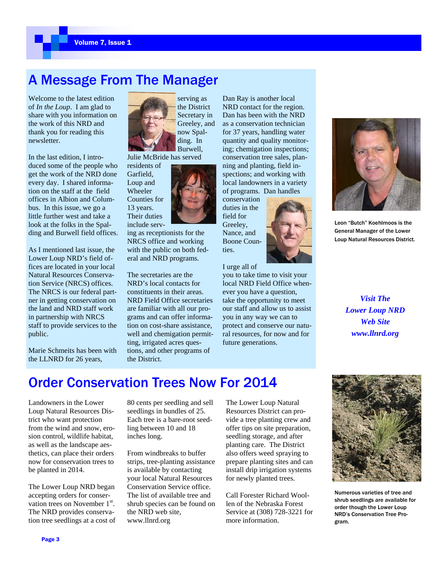## A Message From The Manager

Welcome to the latest edition of *In the Loup*. I am glad to share with you information on the work of this NRD and thank you for reading this newsletter.

In the last edition, I introduced some of the people who get the work of the NRD done every day. I shared information on the staff at the field offices in Albion and Columbus. In this issue, we go a little further west and take a look at the folks in the Spalding and Burwell field offices.

As I mentioned last issue, the Lower Loup NRD's field offices are located in your local Natural Resources Conservation Service (NRCS) offices. The NRCS is our federal partner in getting conservation on the land and NRD staff work in partnership with NRCS staff to provide services to the public.

Marie Schmeits has been with the LLNRD for 26 years,



the District Secretary in Greeley, and now Spalding. In Burwell,

Julie McBride has served

residents of Garfield, Loup and Wheeler Counties for 13 years. Their duties include serv-

ing as receptionists for the NRCS office and working with the public on both federal and NRD programs.

The secretaries are the NRD's local contacts for constituents in their areas. NRD Field Office secretaries are familiar with all our programs and can offer information on cost-share assistance, well and chemigation permitting, irrigated acres questions, and other programs of the District.

Dan Ray is another local NRD contact for the region. Dan has been with the NRD as a conservation technician for 37 years, handling water quantity and quality monitoring; chemigation inspections; conservation tree sales, planning and planting, field inspections; and working with local landowners in a variety of programs. Dan handles

conservation duties in the field for Greeley, Nance, and Boone Counties.

I urge all of

you to take time to visit your local NRD Field Office whenever you have a question, take the opportunity to meet our staff and allow us to assist you in any way we can to protect and conserve our natural resources, for now and for future generations.



Leon "Butch" Koehlmoos is the General Manager of the Lower Loup Natural Resources District.

*Visit The Lower Loup NRD Web Site www.llnrd.org* 

# Order Conservation Trees Now For 2014

Landowners in the Lower Loup Natural Resources District who want protection from the wind and snow, erosion control, wildlife habitat, as well as the landscape aesthetics, can place their orders now for conservation trees to be planted in 2014.

The Lower Loup NRD began accepting orders for conservation trees on November 1<sup>st</sup>. The NRD provides conservation tree seedlings at a cost of 80 cents per seedling and sell seedlings in bundles of 25. Each tree is a bare-root seedling between 10 and 18 inches long.

From windbreaks to buffer strips, tree-planting assistance is available by contacting your local Natural Resources Conservation Service office. The list of available tree and shrub species can be found on the NRD web site, www.llnrd.org

The Lower Loup Natural Resources District can provide a tree planting crew and offer tips on site preparation, seedling storage, and after planting care. The District also offers weed spraying to prepare planting sites and can install drip irrigation systems for newly planted trees.

Call Forester Richard Woollen of the Nebraska Forest Service at (308) 728-3221 for more information.



Numerous varieties of tree and shrub seedlings are available for order though the Lower Loup NRD's Conservation Tree Program.